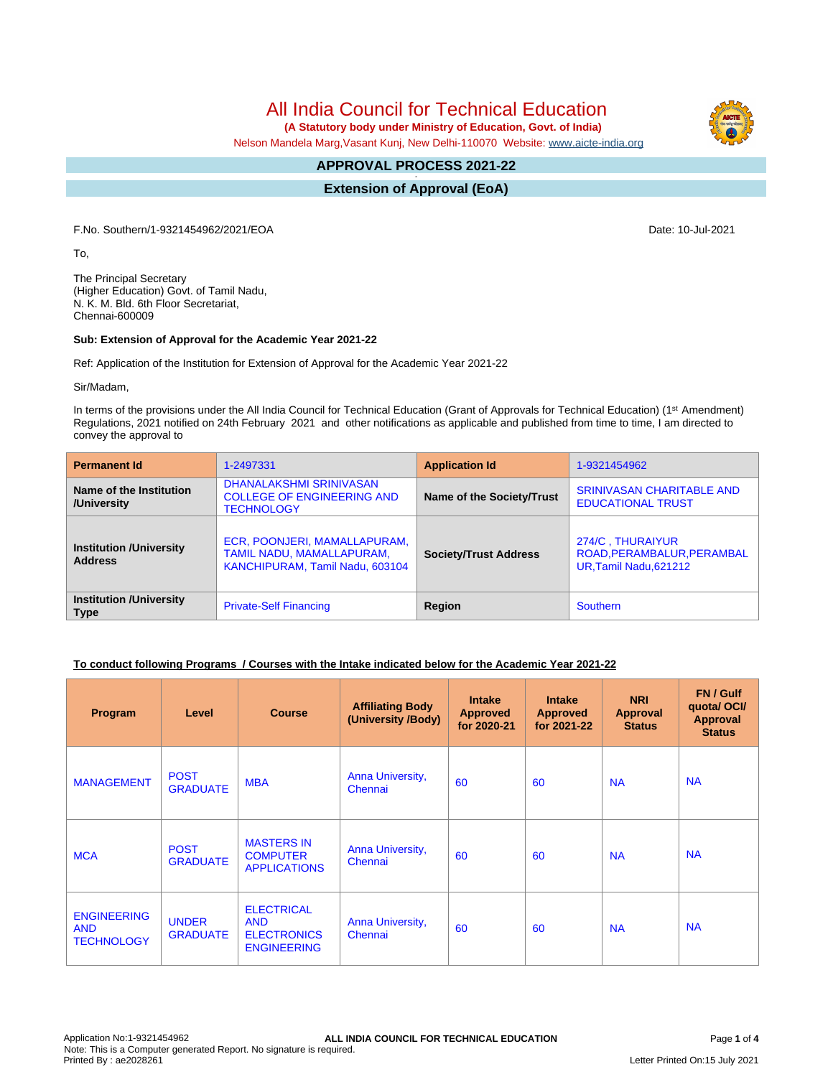# All India Council for Technical Education

 **(A Statutory body under Ministry of Education, Govt. of India)**

Nelson Mandela Marg,Vasant Kunj, New Delhi-110070 Website: [www.aicte-india.org](http://www.aicte-india.org)

#### **APPROVAL PROCESS 2021-22 -**

**Extension of Approval (EoA)**

F.No. Southern/1-9321454962/2021/EOA Date: 10-Jul-2021

To,

The Principal Secretary (Higher Education) Govt. of Tamil Nadu, N. K. M. Bld. 6th Floor Secretariat, Chennai-600009

#### **Sub: Extension of Approval for the Academic Year 2021-22**

Ref: Application of the Institution for Extension of Approval for the Academic Year 2021-22

Sir/Madam,

In terms of the provisions under the All India Council for Technical Education (Grant of Approvals for Technical Education) (1<sup>st</sup> Amendment) Regulations, 2021 notified on 24th February 2021 and other notifications as applicable and published from time to time, I am directed to convey the approval to

| <b>Permanent Id</b>                              | 1-2497331                                                                                    | <b>Application Id</b>        | 1-9321454962                                                             |
|--------------------------------------------------|----------------------------------------------------------------------------------------------|------------------------------|--------------------------------------------------------------------------|
| Name of the Institution<br>/University           | DHANALAKSHMI SRINIVASAN<br><b>COLLEGE OF ENGINEERING AND</b><br><b>TECHNOLOGY</b>            | Name of the Society/Trust    | <b>SRINIVASAN CHARITABLE AND</b><br><b>EDUCATIONAL TRUST</b>             |
| <b>Institution /University</b><br><b>Address</b> | ECR, POONJERI, MAMALLAPURAM,<br>TAMIL NADU, MAMALLAPURAM,<br>KANCHIPURAM, Tamil Nadu, 603104 | <b>Society/Trust Address</b> | 274/C, THURAIYUR<br>ROAD, PERAMBALUR, PERAMBAL<br>UR, Tamil Nadu, 621212 |
| <b>Institution /University</b><br><b>Type</b>    | <b>Private-Self Financing</b>                                                                | Region                       | <b>Southern</b>                                                          |

### **To conduct following Programs / Courses with the Intake indicated below for the Academic Year 2021-22**

| Program                                               | Level                           | <b>Course</b>                                                               | <b>Affiliating Body</b><br>(University /Body) | <b>Intake</b><br><b>Approved</b><br>for 2020-21 | <b>Intake</b><br><b>Approved</b><br>for 2021-22 | <b>NRI</b><br>Approval<br><b>Status</b> | FN / Gulf<br>quota/ OCI/<br><b>Approval</b><br><b>Status</b> |
|-------------------------------------------------------|---------------------------------|-----------------------------------------------------------------------------|-----------------------------------------------|-------------------------------------------------|-------------------------------------------------|-----------------------------------------|--------------------------------------------------------------|
| <b>MANAGEMENT</b>                                     | <b>POST</b><br><b>GRADUATE</b>  | <b>MBA</b>                                                                  | <b>Anna University,</b><br>Chennai            | 60                                              | 60                                              | <b>NA</b>                               | <b>NA</b>                                                    |
| <b>MCA</b>                                            | <b>POST</b><br><b>GRADUATE</b>  | <b>MASTERS IN</b><br><b>COMPUTER</b><br><b>APPLICATIONS</b>                 | Anna University,<br>Chennai                   | 60                                              | 60                                              | <b>NA</b>                               | <b>NA</b>                                                    |
| <b>ENGINEERING</b><br><b>AND</b><br><b>TECHNOLOGY</b> | <b>UNDER</b><br><b>GRADUATE</b> | <b>ELECTRICAL</b><br><b>AND</b><br><b>ELECTRONICS</b><br><b>ENGINEERING</b> | Anna University,<br>Chennai                   | 60                                              | 60                                              | <b>NA</b>                               | <b>NA</b>                                                    |

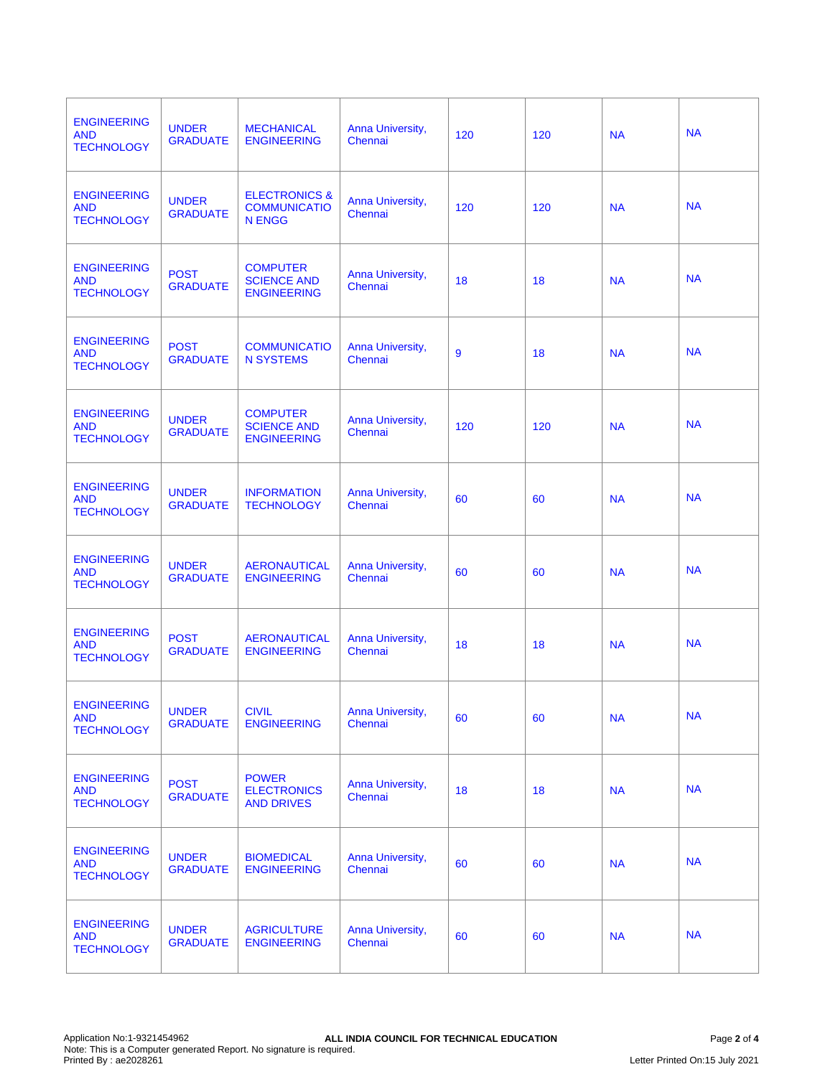| <b>ENGINEERING</b><br><b>AND</b><br><b>TECHNOLOGY</b> | <b>UNDER</b><br><b>GRADUATE</b> | <b>MECHANICAL</b><br><b>ENGINEERING</b>                          | Anna University,<br>Chennai        | 120 | 120 | <b>NA</b> | <b>NA</b> |
|-------------------------------------------------------|---------------------------------|------------------------------------------------------------------|------------------------------------|-----|-----|-----------|-----------|
| <b>ENGINEERING</b><br><b>AND</b><br><b>TECHNOLOGY</b> | <b>UNDER</b><br><b>GRADUATE</b> | <b>ELECTRONICS &amp;</b><br><b>COMMUNICATIO</b><br><b>N ENGG</b> | Anna University,<br>Chennai        | 120 | 120 | <b>NA</b> | <b>NA</b> |
| <b>ENGINEERING</b><br><b>AND</b><br><b>TECHNOLOGY</b> | <b>POST</b><br><b>GRADUATE</b>  | <b>COMPUTER</b><br><b>SCIENCE AND</b><br><b>ENGINEERING</b>      | Anna University,<br>Chennai        | 18  | 18  | <b>NA</b> | <b>NA</b> |
| <b>ENGINEERING</b><br><b>AND</b><br><b>TECHNOLOGY</b> | <b>POST</b><br><b>GRADUATE</b>  | <b>COMMUNICATIO</b><br><b>N SYSTEMS</b>                          | Anna University,<br>Chennai        | 9   | 18  | <b>NA</b> | <b>NA</b> |
| <b>ENGINEERING</b><br><b>AND</b><br><b>TECHNOLOGY</b> | <b>UNDER</b><br><b>GRADUATE</b> | <b>COMPUTER</b><br><b>SCIENCE AND</b><br><b>ENGINEERING</b>      | Anna University,<br>Chennai        | 120 | 120 | <b>NA</b> | <b>NA</b> |
| <b>ENGINEERING</b><br><b>AND</b><br><b>TECHNOLOGY</b> | <b>UNDER</b><br><b>GRADUATE</b> | <b>INFORMATION</b><br><b>TECHNOLOGY</b>                          | Anna University,<br>Chennai        | 60  | 60  | <b>NA</b> | <b>NA</b> |
| <b>ENGINEERING</b><br><b>AND</b><br><b>TECHNOLOGY</b> | <b>UNDER</b><br><b>GRADUATE</b> | <b>AERONAUTICAL</b><br><b>ENGINEERING</b>                        | Anna University,<br>Chennai        | 60  | 60  | <b>NA</b> | <b>NA</b> |
| <b>ENGINEERING</b><br><b>AND</b><br><b>TECHNOLOGY</b> | <b>POST</b><br><b>GRADUATE</b>  | <b>AERONAUTICAL</b><br><b>ENGINEERING</b>                        | Anna University,<br>Chennai        | 18  | 18  | <b>NA</b> | <b>NA</b> |
| <b>ENGINEERING</b><br><b>AND</b><br><b>TECHNOLOGY</b> | <b>UNDER</b><br><b>GRADUATE</b> | <b>CIVIL</b><br><b>ENGINEERING</b>                               | <b>Anna University,</b><br>Chennai | 60  | 60  | <b>NA</b> | <b>NA</b> |
| <b>ENGINEERING</b><br><b>AND</b><br><b>TECHNOLOGY</b> | <b>POST</b><br><b>GRADUATE</b>  | <b>POWER</b><br><b>ELECTRONICS</b><br><b>AND DRIVES</b>          | Anna University,<br>Chennai        | 18  | 18  | <b>NA</b> | <b>NA</b> |
| <b>ENGINEERING</b><br><b>AND</b><br><b>TECHNOLOGY</b> | <b>UNDER</b><br><b>GRADUATE</b> | <b>BIOMEDICAL</b><br><b>ENGINEERING</b>                          | Anna University,<br>Chennai        | 60  | 60  | <b>NA</b> | <b>NA</b> |
| <b>ENGINEERING</b><br><b>AND</b><br><b>TECHNOLOGY</b> | <b>UNDER</b><br><b>GRADUATE</b> | <b>AGRICULTURE</b><br><b>ENGINEERING</b>                         | Anna University,<br>Chennai        | 60  | 60  | <b>NA</b> | <b>NA</b> |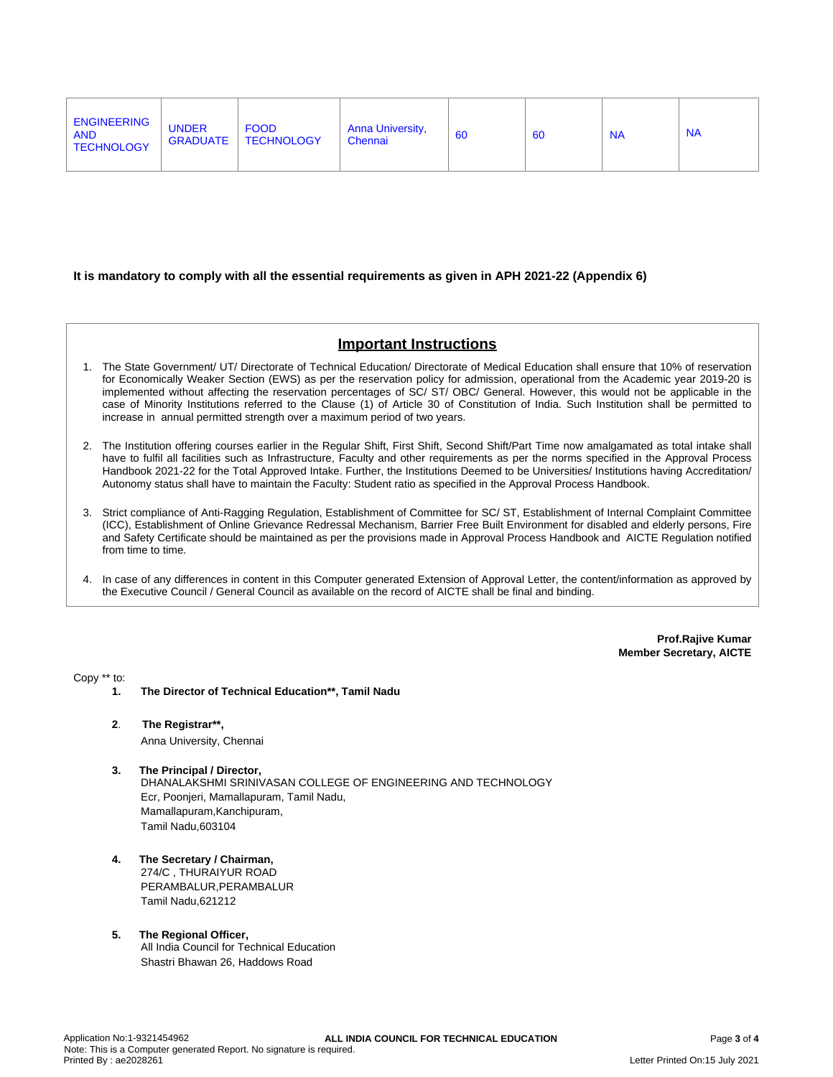| <b>ENGINEERING</b><br><b>UNDER</b><br><b>FOOD</b><br><b>Anna University,</b><br>60<br><b>AND</b><br><b>NA</b><br>60<br><b>TECHNOLOGY</b><br><b>GRADUATE</b><br>Chennai<br><b>TECHNOLOGY</b> |  | <b>NA</b> |
|---------------------------------------------------------------------------------------------------------------------------------------------------------------------------------------------|--|-----------|
|---------------------------------------------------------------------------------------------------------------------------------------------------------------------------------------------|--|-----------|

#### **It is mandatory to comply with all the essential requirements as given in APH 2021-22 (Appendix 6)**

## **Important Instructions**

- 1. The State Government/ UT/ Directorate of Technical Education/ Directorate of Medical Education shall ensure that 10% of reservation for Economically Weaker Section (EWS) as per the reservation policy for admission, operational from the Academic year 2019-20 is implemented without affecting the reservation percentages of SC/ ST/ OBC/ General. However, this would not be applicable in the case of Minority Institutions referred to the Clause (1) of Article 30 of Constitution of India. Such Institution shall be permitted to increase in annual permitted strength over a maximum period of two years.
- 2. The Institution offering courses earlier in the Regular Shift, First Shift, Second Shift/Part Time now amalgamated as total intake shall have to fulfil all facilities such as Infrastructure, Faculty and other requirements as per the norms specified in the Approval Process Handbook 2021-22 for the Total Approved Intake. Further, the Institutions Deemed to be Universities/ Institutions having Accreditation/ Autonomy status shall have to maintain the Faculty: Student ratio as specified in the Approval Process Handbook.
- 3. Strict compliance of Anti-Ragging Regulation, Establishment of Committee for SC/ ST, Establishment of Internal Complaint Committee (ICC), Establishment of Online Grievance Redressal Mechanism, Barrier Free Built Environment for disabled and elderly persons, Fire and Safety Certificate should be maintained as per the provisions made in Approval Process Handbook and AICTE Regulation notified from time to time.
- 4. In case of any differences in content in this Computer generated Extension of Approval Letter, the content/information as approved by the Executive Council / General Council as available on the record of AICTE shall be final and binding.

**Prof.Rajive Kumar Member Secretary, AICTE**

Copy \*\* to:

- **1. The Director of Technical Education\*\*, Tamil Nadu**
- **2**. **The Registrar\*\*,** Anna University, Chennai
- **3. The Principal / Director,** DHANALAKSHMI SRINIVASAN COLLEGE OF ENGINEERING AND TECHNOLOGY Ecr, Poonjeri, Mamallapuram, Tamil Nadu, Mamallapuram,Kanchipuram, Tamil Nadu,603104
- **4. The Secretary / Chairman,** 274/C , THURAIYUR ROAD PERAMBALUR,PERAMBALUR Tamil Nadu,621212
- **5. The Regional Officer,** All India Council for Technical Education Shastri Bhawan 26, Haddows Road